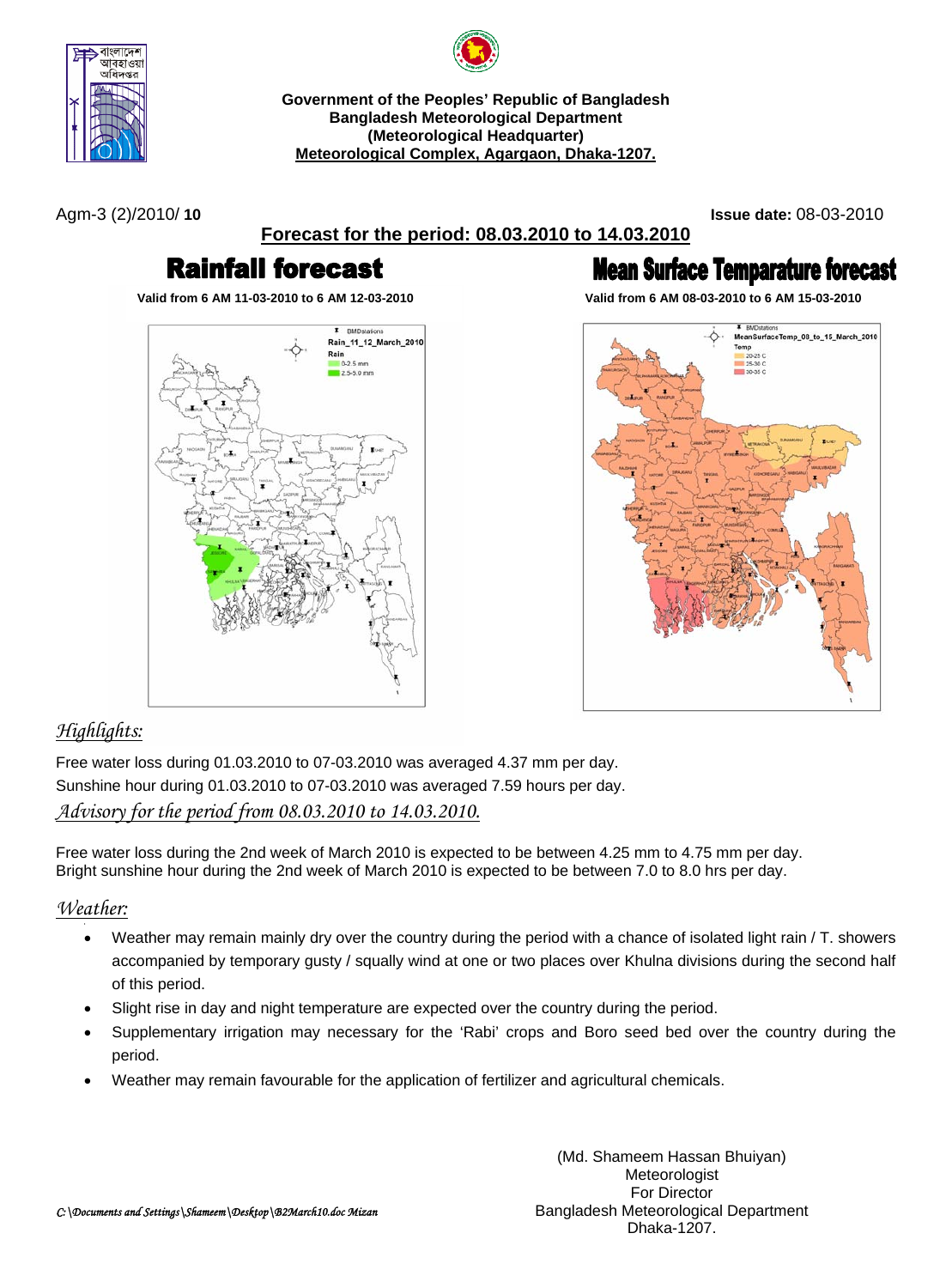

**Government of the Peoples' Republic of Bangladesh Bangladesh Meteorological Department (Meteorological Headquarter)** 

**Meteorological Complex, Agargaon, Dhaka-1207.**

Agm-3 (2)/2010/ **10 Issue date:** 08-03-2010

**Forecast for the period: 08.03.2010 to 14.03.2010**

# **Rainfall forecast**



# **Mean Surface Temparature forecast**

**Valid from 6 AM 11-03-2010 to 6 AM 12-03-2010 Valid from 6 AM 08-03-2010 to 6 AM 15-03-2010**



# *Highlights:*

Free water loss during 01.03.2010 to 07-03.2010 was averaged 4.37 mm per day. Sunshine hour during 01.03.2010 to 07-03.2010 was averaged 7.59 hours per day. *Advisory for the period from 08.03.2010 to 14.03.2010.*

Free water loss during the 2nd week of March 2010 is expected to be between 4.25 mm to 4.75 mm per day. Bright sunshine hour during the 2nd week of March 2010 is expected to be between 7.0 to 8.0 hrs per day.

# *Weather:*

- Weather may remain mainly dry over the country during the period with a chance of isolated light rain / T. showers accompanied by temporary gusty / squally wind at one or two places over Khulna divisions during the second half of this period.
- Slight rise in day and night temperature are expected over the country during the period.
- Supplementary irrigation may necessary for the 'Rabi' crops and Boro seed bed over the country during the period.
- Weather may remain favourable for the application of fertilizer and agricultural chemicals.

(Md. Shameem Hassan Bhuiyan) Meteorologist For Director Bangladesh Meteorological Department Dhaka-1207.

*C:\Documents and Settings\Shameem\Desktop\B2March10.doc Mizan*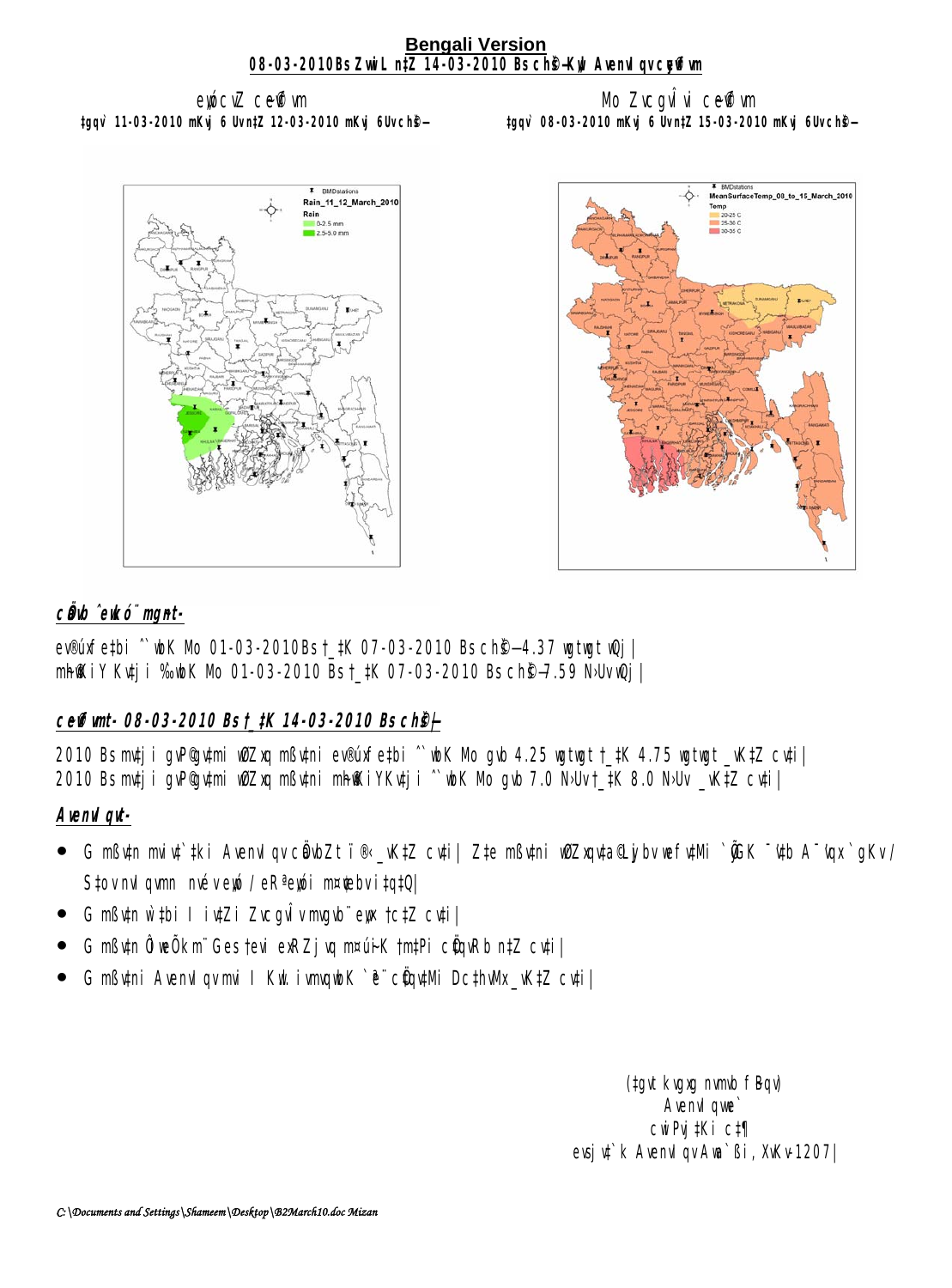#### **Bengali Version 08-03-2010Bs ZwiL n‡Z 14-03-2010 Bs ch<sup>e</sup>+Kyl AvenuI qv cyffwn**

ewicuZ ceffwm **‡gqv` 11-03-2010 mKvj 6 Uv n‡Z 12-03-2010 mKvj 6Uv ch©š—** 

### Mo ZvcavÎvi ce@vm **‡gqv` 08-03-2010 mKvj 6 Uv n‡Z 15-03-2010 mKvj 6Uv ch©š—**





## c**Ö**ub ̂eukó¨ mgnt-

ev®úxfe#bi ^`wbK Mb 01-03-2010Bs †\_#K 07-03-2010 Bs ch**®—4.37 wiwit wQj**| mh@kiY Kutji %bK Mb 01-03-2010 Bst\_#K 07-03-2010 Bs ch@=7.59 N·Uv Qj |

# **c~e©vfvmt- 08-03-2010 Bs †\_‡K 14-03-2010 Bs ch©š—|**

2010 Bs mtj i gvP©gvtmi wOZxq mßvtni ev®úxfe‡bi ^`wbK Mb gvb 4.25 wgtwgt †\_‡K 4.75 wgtwgt \_vK‡Z cv‡i| 2010 Bs mtj i gvP@ tmi wiZxq mß tmi mhokiYKvtj i ^`wk Nb gvb 7.0 NJvt\_tK 8.0 NJv \_vKtZ cvti |

## **AvenvIqvt-**

- **G mßv‡n måv‡`‡ki AvenvIqv cÖdbZt ï® \_vK‡Z cv‡i| Z‡e mßv‡ni w9Zxqv‡a@\_jibv wefv‡Mi `@K ¯'vtb A¯'vqx`qKv /** S‡ov mul qvmn méveyó / eRªeyó i m¤¢ebv i‡q‡Q|
- G mßytn w`thi I iytZi ZvcgwÎv mgyb" ews †c‡Z cyti|
- G mßutn ÔiwÕkm Ges tevi exRZjuq m¤úik tmtPi cünRb n‡Z cuti|
- G mßytni AvenvI qv mi I Kut ivmqubK `ë¨ cüqytMi Dc‡hvMx\_vK‡Z cyti|

(tgvt kvgxg nvmb fBqv) Avenvil que` cwiPvj‡Ki c‡¶ evsju<sup>t</sup>k AvenuIqv Aua`ßi, XvKv-1207|